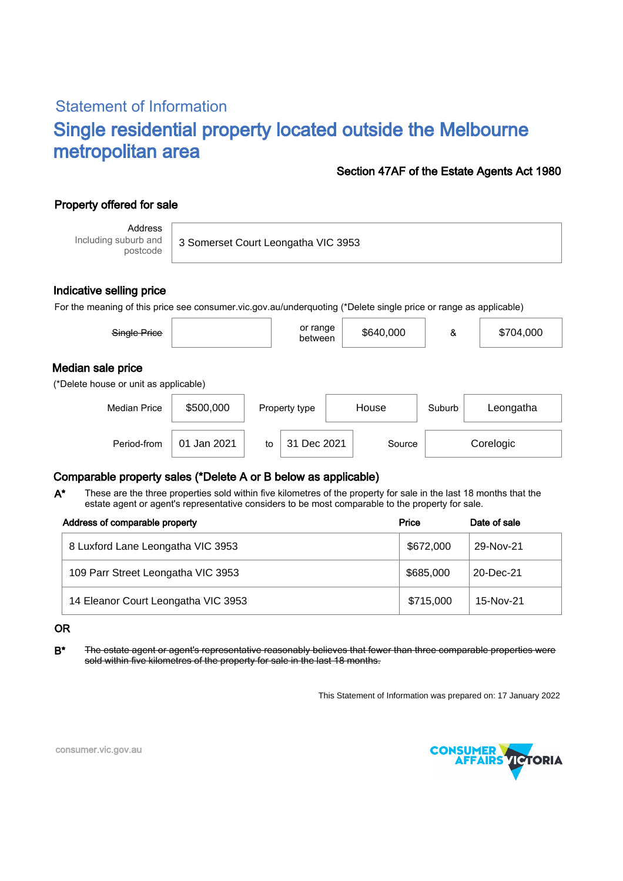# Statement of Information Single residential property located outside the Melbourne metropolitan area

### Section 47AF of the Estate Agents Act 1980

## Property offered for sale

Address Including suburb and postcode

3 Somerset Court Leongatha VIC 3953

Period-from to Source

### Indicative selling price

For the meaning of this price see consumer.vic.gov.au/underquoting (\*Delete single price or range as applicable)

| Single Price                                               |           | or range<br>between | \$640,000 | &      | \$704,000 |
|------------------------------------------------------------|-----------|---------------------|-----------|--------|-----------|
| Median sale price<br>(*Delete house or unit as applicable) |           |                     |           |        |           |
| <b>Median Price</b>                                        | \$500,000 | Property type       | House     | Suburb | Leongatha |

### Comparable property sales (\*Delete A or B below as applicable)

These are the three properties sold within five kilometres of the property for sale in the last 18 months that the estate agent or agent's representative considers to be most comparable to the property for sale. A\*

| Address of comparable property      | Price     | Date of sale |
|-------------------------------------|-----------|--------------|
| 8 Luxford Lane Leongatha VIC 3953   | \$672,000 | 29-Nov-21    |
| 109 Parr Street Leongatha VIC 3953  | \$685,000 | 20-Dec-21    |
| 14 Eleanor Court Leongatha VIC 3953 | \$715,000 | 15-Nov-21    |

#### OR

B<sup>\*</sup> The estate agent or agent's representative reasonably believes that fewer than three comparable properties were sold within five kilometres of the property for sale in the last 18 months.

This Statement of Information was prepared on: 17 January 2022

31 Dec 2021 Source Corelogic



consumer.vic.gov.au